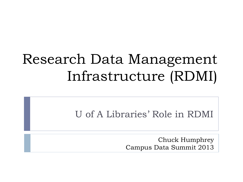# Research Data Management Infrastructure (RDMI)

U of A Libraries' Role in RDMI

Chuck Humphrey Campus Data Summit 2013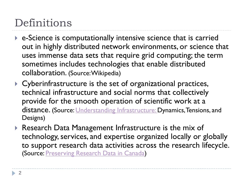### Definitions

- e-Science is computationally intensive science that is carried out in highly distributed network environments, or science that uses immense data sets that require grid computing; the term sometimes includes technologies that enable distributed collaboration. (Source: Wikipedia)
- ▶ Cyberinfrastructure is the set of organizational practices, technical infrastructure and social norms that collectively provide for the smooth operation of scientific work at a distance. (Source: [Understanding Infrastructure:](http://deepblue.lib.umich.edu/bitstream/handle/2027.42/49353/UnderstandingInfrastructure2007.pdf?sequence=3) Dynamics, Tensions, and Designs)
- ▶ Research Data Management Infrastructure is the mix of technology, services, and expertise organized locally or globally to support research data activities across the research lifecycle. (Source: [Preserving Research Data in Canada\)](http://preservingresearchdataincanada.net/category/rdmi-1/)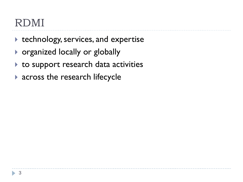### RDMI

- ▶ technology, services, and expertise
- ▶ organized locally or globally
- to support research data activities
- ▶ across the research lifecycle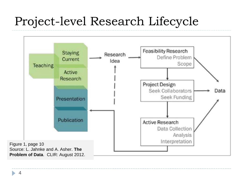# Project-level Research Lifecycle



4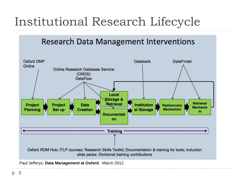# Institutional Research Lifecycle

#### **Research Data Management Interventions**



Paul Jefferys. **Data Management at Oxford**. March 2012.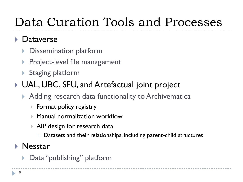# Data Curation Tools and Processes

### Dataverse

- Dissemination platform
- Project-level file management
- ▶ Staging platform

### ▶ UAL, UBC, SFU, and Artefactual joint project

- Adding research data functionality to Archivematica
	- ▶ Format policy registry
	- Manual normalization workflow
	- ▶ AIP design for research data
		- $\Box$  Datasets and their relationships, including parent-child structures

#### **Nesstar**

Data "publishing" platform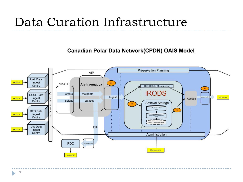### Data Curation Infrastructure

#### **Canadian Polar Data Network (CPDN) OAIS Model**

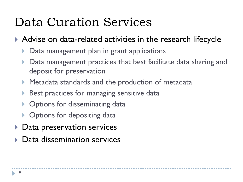### Data Curation Services

#### ▶ Advise on data-related activities in the research lifecycle

- Data management plan in grant applications
- Data management practices that best facilitate data sharing and deposit for preservation
- **Metadata standards and the production of metadata**
- Best practices for managing sensitive data
- ▶ Options for disseminating data
- ▶ Options for depositing data
- ▶ Data preservation services
- Data dissemination services